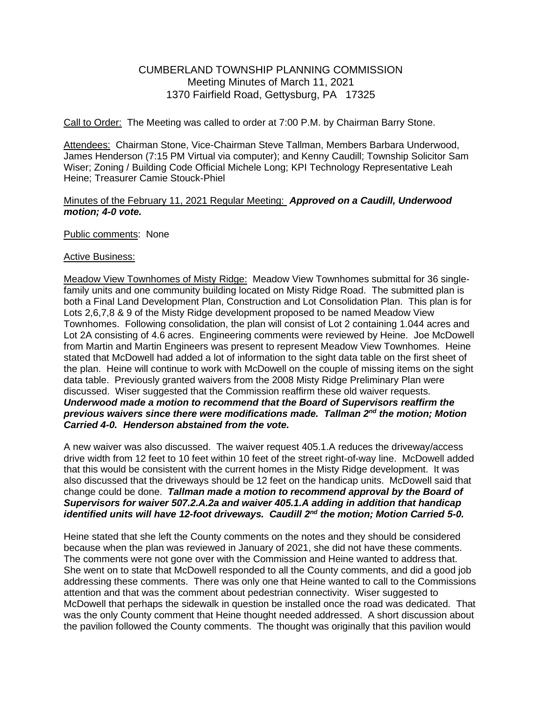## CUMBERLAND TOWNSHIP PLANNING COMMISSION Meeting Minutes of March 11, 2021 1370 Fairfield Road, Gettysburg, PA 17325

Call to Order: The Meeting was called to order at 7:00 P.M. by Chairman Barry Stone.

Attendees: Chairman Stone, Vice-Chairman Steve Tallman, Members Barbara Underwood. James Henderson (7:15 PM Virtual via computer); and Kenny Caudill; Township Solicitor Sam Wiser; Zoning / Building Code Official Michele Long; KPI Technology Representative Leah Heine; Treasurer Camie Stouck-Phiel

## Minutes of the February 11, 2021 Regular Meeting: *Approved on a Caudill, Underwood motion; 4-0 vote.*

Public comments: None

## Active Business:

Meadow View Townhomes of Misty Ridge: Meadow View Townhomes submittal for 36 singlefamily units and one community building located on Misty Ridge Road. The submitted plan is both a Final Land Development Plan, Construction and Lot Consolidation Plan. This plan is for Lots 2,6,7,8 & 9 of the Misty Ridge development proposed to be named Meadow View Townhomes. Following consolidation, the plan will consist of Lot 2 containing 1.044 acres and Lot 2A consisting of 4.6 acres. Engineering comments were reviewed by Heine. Joe McDowell from Martin and Martin Engineers was present to represent Meadow View Townhomes. Heine stated that McDowell had added a lot of information to the sight data table on the first sheet of the plan. Heine will continue to work with McDowell on the couple of missing items on the sight data table. Previously granted waivers from the 2008 Misty Ridge Preliminary Plan were discussed. Wiser suggested that the Commission reaffirm these old waiver requests. *Underwood made a motion to recommend that the Board of Supervisors reaffirm the previous waivers since there were modifications made. Tallman 2nd the motion; Motion Carried 4-0. Henderson abstained from the vote.*

A new waiver was also discussed. The waiver request 405.1.A reduces the driveway/access drive width from 12 feet to 10 feet within 10 feet of the street right-of-way line. McDowell added that this would be consistent with the current homes in the Misty Ridge development. It was also discussed that the driveways should be 12 feet on the handicap units. McDowell said that change could be done. *Tallman made a motion to recommend approval by the Board of Supervisors for waiver 507.2.A.2a and waiver 405.1.A adding in addition that handicap identified units will have 12-foot driveways. Caudill 2nd the motion; Motion Carried 5-0.*

Heine stated that she left the County comments on the notes and they should be considered because when the plan was reviewed in January of 2021, she did not have these comments. The comments were not gone over with the Commission and Heine wanted to address that. She went on to state that McDowell responded to all the County comments, and did a good job addressing these comments. There was only one that Heine wanted to call to the Commissions attention and that was the comment about pedestrian connectivity. Wiser suggested to McDowell that perhaps the sidewalk in question be installed once the road was dedicated. That was the only County comment that Heine thought needed addressed. A short discussion about the pavilion followed the County comments. The thought was originally that this pavilion would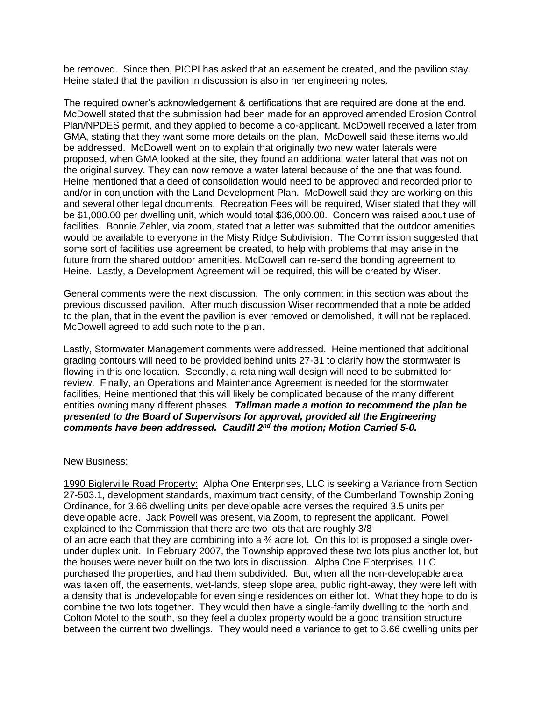be removed. Since then, PICPI has asked that an easement be created, and the pavilion stay. Heine stated that the pavilion in discussion is also in her engineering notes.

The required owner's acknowledgement & certifications that are required are done at the end. McDowell stated that the submission had been made for an approved amended Erosion Control Plan/NPDES permit, and they applied to become a co-applicant. McDowell received a later from GMA, stating that they want some more details on the plan. McDowell said these items would be addressed. McDowell went on to explain that originally two new water laterals were proposed, when GMA looked at the site, they found an additional water lateral that was not on the original survey. They can now remove a water lateral because of the one that was found. Heine mentioned that a deed of consolidation would need to be approved and recorded prior to and/or in conjunction with the Land Development Plan. McDowell said they are working on this and several other legal documents. Recreation Fees will be required, Wiser stated that they will be \$1,000.00 per dwelling unit, which would total \$36,000.00. Concern was raised about use of facilities. Bonnie Zehler, via zoom, stated that a letter was submitted that the outdoor amenities would be available to everyone in the Misty Ridge Subdivision. The Commission suggested that some sort of facilities use agreement be created, to help with problems that may arise in the future from the shared outdoor amenities. McDowell can re-send the bonding agreement to Heine. Lastly, a Development Agreement will be required, this will be created by Wiser.

General comments were the next discussion. The only comment in this section was about the previous discussed pavilion. After much discussion Wiser recommended that a note be added to the plan, that in the event the pavilion is ever removed or demolished, it will not be replaced. McDowell agreed to add such note to the plan.

Lastly, Stormwater Management comments were addressed. Heine mentioned that additional grading contours will need to be provided behind units 27-31 to clarify how the stormwater is flowing in this one location. Secondly, a retaining wall design will need to be submitted for review. Finally, an Operations and Maintenance Agreement is needed for the stormwater facilities, Heine mentioned that this will likely be complicated because of the many different entities owning many different phases. *Tallman made a motion to recommend the plan be presented to the Board of Supervisors for approval, provided all the Engineering comments have been addressed. Caudill 2nd the motion; Motion Carried 5-0.*

## New Business:

1990 Biglerville Road Property: Alpha One Enterprises, LLC is seeking a Variance from Section 27-503.1, development standards, maximum tract density, of the Cumberland Township Zoning Ordinance, for 3.66 dwelling units per developable acre verses the required 3.5 units per developable acre. Jack Powell was present, via Zoom, to represent the applicant. Powell explained to the Commission that there are two lots that are roughly 3/8 of an acre each that they are combining into a  $\frac{3}{4}$  acre lot. On this lot is proposed a single overunder duplex unit. In February 2007, the Township approved these two lots plus another lot, but the houses were never built on the two lots in discussion. Alpha One Enterprises, LLC purchased the properties, and had them subdivided. But, when all the non-developable area was taken off, the easements, wet-lands, steep slope area, public right-away, they were left with a density that is undevelopable for even single residences on either lot. What they hope to do is combine the two lots together. They would then have a single-family dwelling to the north and Colton Motel to the south, so they feel a duplex property would be a good transition structure between the current two dwellings. They would need a variance to get to 3.66 dwelling units per